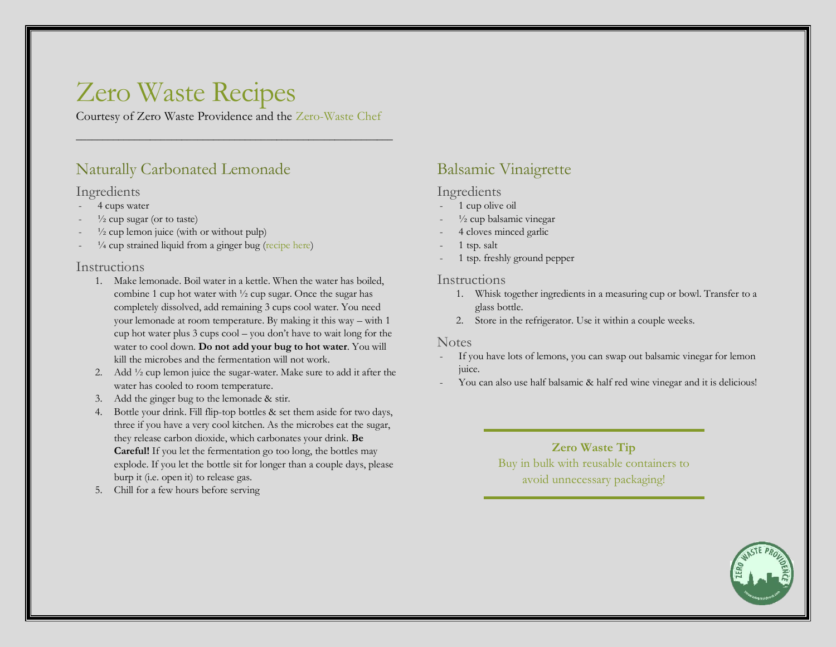# Zero Waste Recipes

Courtesy of Zero Waste Providence and the [Zero-Waste Chef](https://zerowastechef.com/)

\_\_\_\_\_\_\_\_\_\_\_\_\_\_\_\_\_\_\_\_\_\_\_\_\_\_\_\_\_\_\_\_\_\_\_\_\_\_\_\_\_\_\_\_\_\_\_\_\_\_\_\_\_\_\_\_\_\_\_\_

## [Naturally Carbonated Lemonade](https://zerowastechef.com/2015/06/14/naturally-carbonated-lemonade/#lemonade)

### Ingredients

- 4 cups water
- $\frac{1}{2}$  cup sugar (or to taste)
- $\frac{1}{2}$  cup lemon juice (with or without pulp)
- $\frac{1}{4}$  cup strained liquid from a ginger bug [\(recipe here\)](http://zerowastechef.com/2015/06/10/ginger-bug/)

### Instructions

- 1. Make lemonade. Boil water in a kettle. When the water has boiled, combine 1 cup hot water with ½ cup sugar. Once the sugar has completely dissolved, add remaining 3 cups cool water. You need your lemonade at room temperature. By making it this way – with 1 cup hot water plus 3 cups cool – you don't have to wait long for the water to cool down. **Do not add your bug to hot water**. You will kill the microbes and the fermentation will not work.
- 2. Add ½ cup lemon juice the sugar-water. Make sure to add it after the water has cooled to room temperature.
- 3. Add the ginger bug to the lemonade & stir.
- 4. Bottle your drink. Fill flip-top bottles & set them aside for two days, three if you have a very cool kitchen. As the microbes eat the sugar, they release carbon dioxide, which carbonates your drink. **Be Careful!** If you let the fermentation go too long, the bottles may explode. If you let the bottle sit for longer than a couple days, please burp it (i.e. open it) to release gas.
- 5. Chill for a few hours before serving

## [Balsamic Vinaigrette](https://zerowastechef.com/2016/02/18/shes-so-lazy-she-blogs-about-her-vinaigrette/)

## Ingredients

- 1 cup olive oil
- $\frac{1}{2}$  cup balsamic vinegar
- 4 cloves minced garlic
- 1 tsp. salt
- 1 tsp. freshly ground pepper

#### Instructions

- 1. Whisk together ingredients in a measuring cup or bowl. Transfer to a glass bottle.
- 2. Store in the refrigerator. Use it within a couple weeks.

### Notes

- If you have lots of lemons, you can swap out balsamic vinegar for lemon juice.
- You can also use half balsamic & half red wine vinegar and it is delicious!

## **Zero Waste Tip** Buy in bulk with reusable containers to avoid unnecessary packaging!

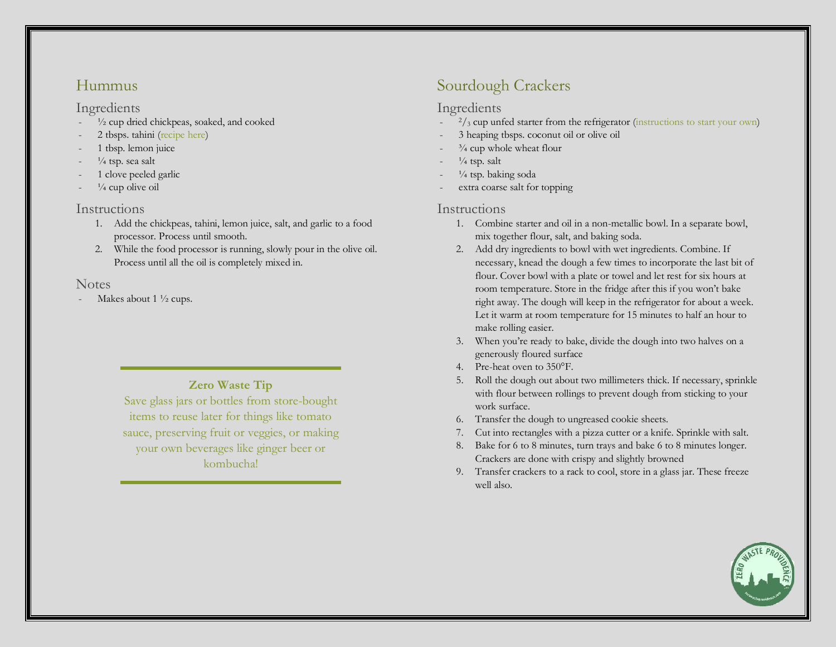## [Hummus](https://zerowastechef.com/2017/02/15/hummus/)

#### Ingredients

- $\frac{1}{2}$  cup dried chickpeas, soaked, and cooked
- 2 tbsps. tahini [\(recipe here\)](https://zerowastechef.com/2017/07/19/homemade-tahini/)
- 1 tbsp. lemon juice
- $\frac{1}{4}$  tsp. sea salt
- 1 clove peeled garlic
- $\frac{1}{4}$  cup olive oil

## Instructions

- 1. Add the chickpeas, tahini, lemon juice, salt, and garlic to a food processor. Process until smooth.
- 2. While the food processor is running, slowly pour in the olive oil. Process until all the oil is completely mixed in.

## **Notes**

Makes about  $1\frac{1}{2}$  cups.

## **Zero Waste Tip**

Save glass jars or bottles from store-bought items to reuse later for things like tomato sauce, preserving fruit or veggies, or making your own beverages like ginger beer or kombucha!

## [Sourdough Crackers](https://zerowastechef.com/2015/11/18/sourdough-crackers-2-0/)

## Ingredients

- $\frac{2}{3}$  cup unfed starter from the refrigerator [\(instructions to start your own\)](https://zerowastechef.com/2015/02/10/happy-birthday-eleanor-how-to-make-a-sourdough-starter/#starter)
- 3 heaping tbsps. coconut oil or olive oil
- $\frac{3}{4}$  cup whole wheat flour
- $\frac{1}{4}$  tsp. salt
- $\frac{1}{4}$  tsp. baking soda
- extra coarse salt for topping

## Instructions

- 1. Combine starter and oil in a non-metallic bowl. In a separate bowl, mix together flour, salt, and baking soda.
- 2. Add dry ingredients to bowl with wet ingredients. Combine. If necessary, knead the dough a few times to incorporate the last bit of flour. Cover bowl with a plate or towel and let rest for six hours at room temperature. Store in the fridge after this if you won't bake right away. The dough will keep in the refrigerator for about a week. Let it warm at room temperature for 15 minutes to half an hour to make rolling easier.
- 3. When you're ready to bake, divide the dough into two halves on a generously floured surface
- 4. Pre-heat oven to 350°F.
- 5. Roll the dough out about two millimeters thick. If necessary, sprinkle with flour between rollings to prevent dough from sticking to your work surface.
- 6. Transfer the dough to ungreased cookie sheets.
- 7. Cut into rectangles with a pizza cutter or a knife. Sprinkle with salt.
- 8. Bake for 6 to 8 minutes, turn trays and bake 6 to 8 minutes longer. Crackers are done with crispy and slightly browned
- 9. Transfer crackers to a rack to cool, store in a glass jar. These freeze well also.

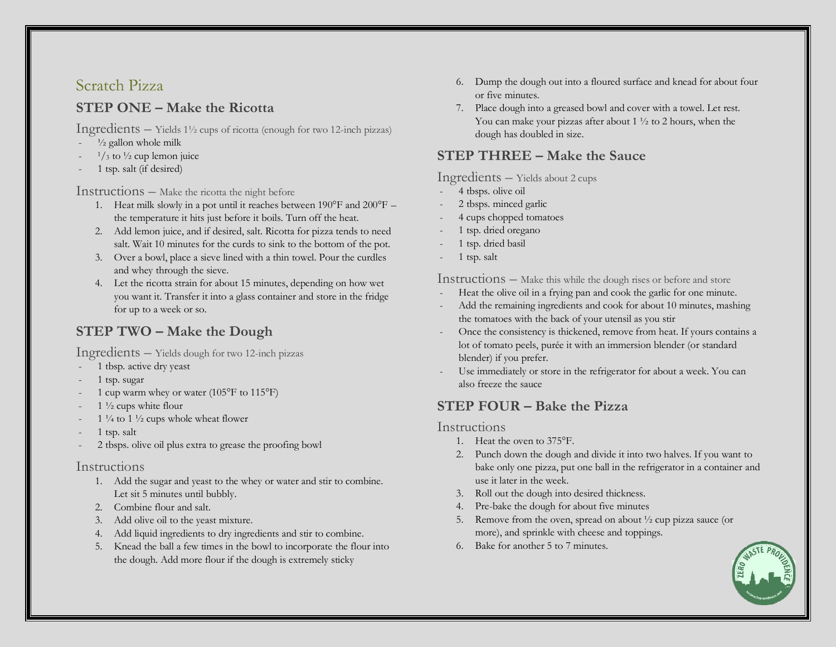## [Scratch Pizza](https://zerowastechef.com/2016/03/17/scratch-pizza/#pizza)

## **STEP ONE – Make the Ricotta**

Ingredients – Yields 1½ cups of ricotta (enough for two 12-inch pizzas)

- $\frac{1}{2}$  gallon whole milk
- $\frac{1}{3}$  to  $\frac{1}{2}$  cup lemon juice
- 1 tsp. salt (if desired)

#### Instructions – Make the ricotta the night before

- 1. Heat milk slowly in a pot until it reaches between 190°F and 200°F the temperature it hits just before it boils. Turn off the heat.
- 2. Add lemon juice, and if desired, salt. Ricotta for pizza tends to need salt. Wait 10 minutes for the curds to sink to the bottom of the pot.
- 3. Over a bowl, place a sieve lined with a thin towel. Pour the curdles and whey through the sieve.
- 4. Let the ricotta strain for about 15 minutes, depending on how wet you want it. Transfer it into a glass container and store in the fridge for up to a week or so.

## **STEP TWO – Make the Dough**

Ingredients – Yields dough for two 12-inch pizzas

- 1 tbsp. active dry yeast
- 1 tsp. sugar
- 1 cup warm whey or water (105 $\mathrm{^{\circ}F}$  to 115 $\mathrm{^{\circ}F}$ )
- $1\frac{1}{2}$  cups white flour
- 1  $\frac{1}{4}$  to 1  $\frac{1}{2}$  cups whole wheat flower
- 1 tsp. salt
- 2 tbsps. olive oil plus extra to grease the proofing bowl

### Instructions

- 1. Add the sugar and yeast to the whey or water and stir to combine. Let sit 5 minutes until bubbly.
- 2. Combine flour and salt.
- 3. Add olive oil to the yeast mixture.
- 4. Add liquid ingredients to dry ingredients and stir to combine.
- 5. Knead the ball a few times in the bowl to incorporate the flour into the dough. Add more flour if the dough is extremely sticky
- 6. Dump the dough out into a floured surface and knead for about four or five minutes.
- 7. Place dough into a greased bowl and cover with a towel. Let rest. You can make your pizzas after about 1 ½ to 2 hours, when the dough has doubled in size.

## **STEP THREE – Make the Sauce**

Ingredients – Yields about 2 cups

- 4 tbsps. olive oil
- 2 tbsps. minced garlic
- 4 cups chopped tomatoes
- 1 tsp. dried oregano
- 1 tsp. dried basil
- 1 tsp. salt

Instructions – Make this while the dough rises or before and store

- Heat the olive oil in a frying pan and cook the garlic for one minute.
- Add the remaining ingredients and cook for about 10 minutes, mashing the tomatoes with the back of your utensil as you stir
- Once the consistency is thickened, remove from heat. If yours contains a lot of tomato peels, purée it with an immersion blender (or standard blender) if you prefer.
- Use immediately or store in the refrigerator for about a week. You can also freeze the sauce

## **STEP FOUR – Bake the Pizza**

## Instructions

- 1. Heat the oven to 375°F.
- 2. Punch down the dough and divide it into two halves. If you want to bake only one pizza, put one ball in the refrigerator in a container and use it later in the week.
- 3. Roll out the dough into desired thickness.
- 4. Pre-bake the dough for about five minutes
- 5. Remove from the oven, spread on about ½ cup pizza sauce (or more), and sprinkle with cheese and toppings.
- 6. Bake for another 5 to 7 minutes.

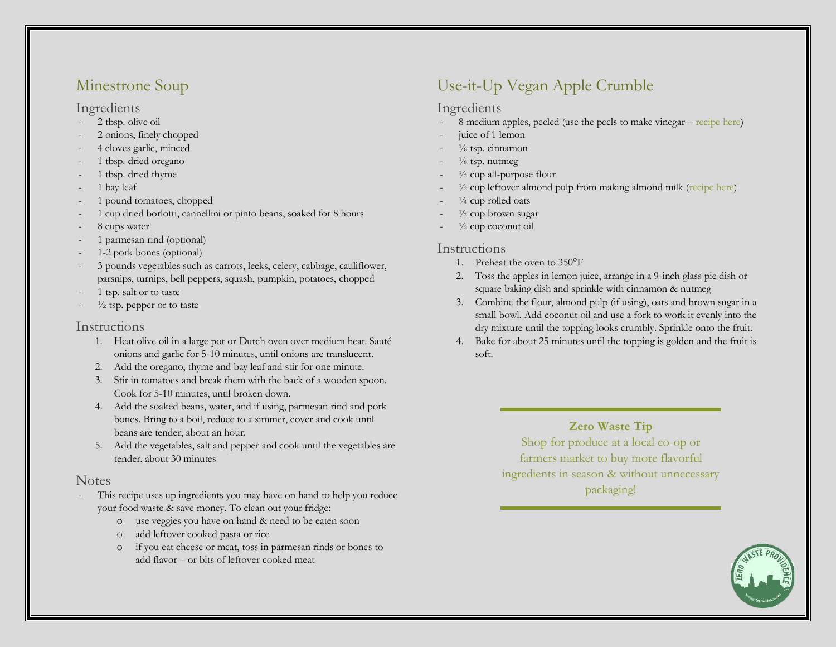## [Minestrone Soup](https://zerowastechef.com/2017/02/05/minestrone-soup/)

#### Ingredients

- 2 tbsp. olive oil
- 2 onions, finely chopped
- 4 cloves garlic, minced
- 1 tbsp. dried oregano
- 1 tbsp. dried thyme
- 1 bay leaf
- 1 pound tomatoes, chopped
- 1 cup dried borlotti, cannellini or pinto beans, soaked for 8 hours
- 8 cups water
- 1 parmesan rind (optional)
- 1-2 pork bones (optional)
- 3 pounds vegetables such as carrots, leeks, celery, cabbage, cauliflower, parsnips, turnips, bell peppers, squash, pumpkin, potatoes, chopped
- 1 tsp. salt or to taste
- $\frac{1}{2}$  tsp. pepper or to taste

#### Instructions

- 1. Heat olive oil in a large pot or Dutch oven over medium heat. Sauté onions and garlic for 5-10 minutes, until onions are translucent.
- 2. Add the oregano, thyme and bay leaf and stir for one minute.
- 3. Stir in tomatoes and break them with the back of a wooden spoon. Cook for 5-10 minutes, until broken down.
- 4. Add the soaked beans, water, and if using, parmesan rind and pork bones. Bring to a boil, reduce to a simmer, cover and cook until beans are tender, about an hour.
- 5. Add the vegetables, salt and pepper and cook until the vegetables are tender, about 30 minutes

### **Notes**

- This recipe uses up ingredients you may have on hand to help you reduce your food waste & save money. To clean out your fridge:
	- o use veggies you have on hand & need to be eaten soon
	- o add leftover cooked pasta or rice
	- o if you eat cheese or meat, toss in parmesan rinds or bones to add flavor – or bits of leftover cooked meat

## [Use-it-Up Vegan Apple Crumble](https://zerowastechef.com/2018/08/22/use-it-up-vegan-apple-crumble/)

#### Ingredients

- 8 medium apples, peeled (use the peels to make vinegar [recipe here\)](https://zerowastechef.com/2014/10/30/apple-scrap-vinegar/)
- iuice of 1 lemon
- $\frac{1}{8}$  tsp. cinnamon
- $\frac{1}{8}$  tsp. nutmeg
- $\frac{1}{2}$  cup all-purpose flour
- $\frac{1}{2}$  cup leftover almond pulp from making almond milk [\(recipe here\)](https://zerowastechef.com/2017/04/05/almond-milk/)
- $\frac{1}{4}$  cup rolled oats
- $\frac{1}{2}$  cup brown sugar
- $\frac{1}{2}$  cup coconut oil

#### Instructions

- 1. Preheat the oven to 350°F
- 2. Toss the apples in lemon juice, arrange in a 9-inch glass pie dish or square baking dish and sprinkle with cinnamon & nutmeg
- 3. Combine the flour, almond pulp (if using), oats and brown sugar in a small bowl. Add coconut oil and use a fork to work it evenly into the dry mixture until the topping looks crumbly. Sprinkle onto the fruit.
- 4. Bake for about 25 minutes until the topping is golden and the fruit is soft.

## **Zero Waste Tip**

Shop for produce at a local co-op or farmers market to buy more flavorful ingredients in season & without unnecessary packaging!